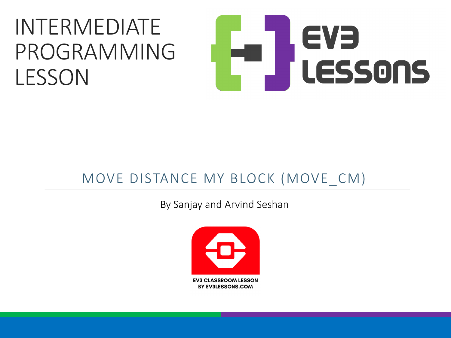### INTERMEDIATE PROGRAMMING LESSON

# EVE LESSONS

#### MOVE DISTANCE MY BLOCK (MOVE CM)

By Sanjay and Arvind Seshan

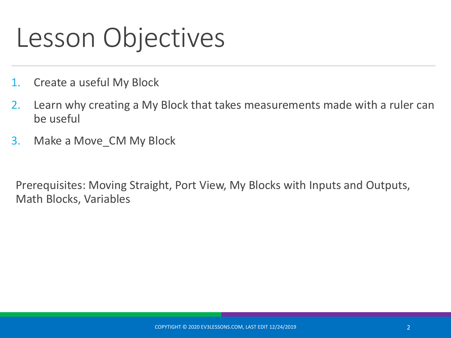### Lesson Objectives

- 1. Create a useful My Block
- 2. Learn why creating a My Block that takes measurements made with a ruler can be useful
- 3. Make a Move\_CM My Block

Prerequisites: Moving Straight, Port View, My Blocks with Inputs and Outputs, Math Blocks, Variables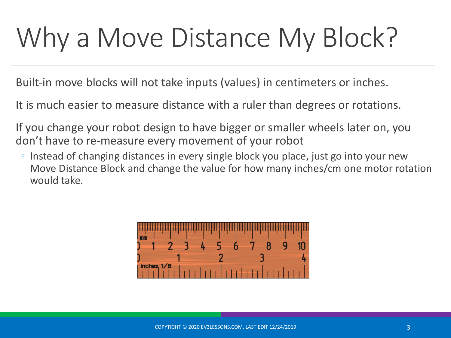# Why a Move Distance My Block?

Built-in move blocks will not take inputs (values) in centimeters or inches.

It is much easier to measure distance with a ruler than degrees or rotations.

If you change your robot design to have bigger or smaller wheels later on, you don't have to re-measure every movement of your robot

◦ Instead of changing distances in every single block you place, just go into your new Move Distance Block and change the value for how many inches/cm one motor rotation would take.

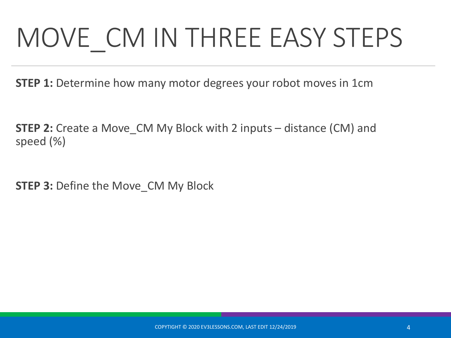# MOVE CM IN THREE EASY STEPS

**STEP 1:** Determine how many motor degrees your robot moves in 1cm

**STEP 2:** Create a Move\_CM My Block with 2 inputs – distance (CM) and speed (%)

**STEP 3: Define the Move CM My Block**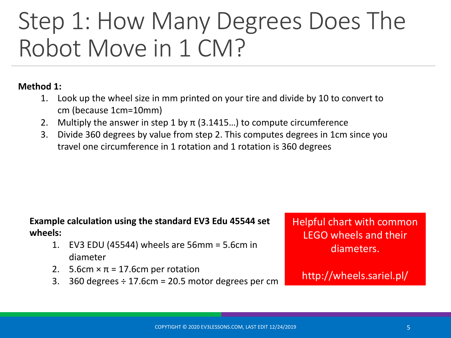### Step 1: How Many Degrees Does The Robot Move in 1 CM?

#### **Method 1:**

- 1. Look up the wheel size in mm printed on your tire and divide by 10 to convert to cm (because 1cm=10mm)
- 2. Multiply the answer in step 1 by  $\pi$  (3.1415...) to compute circumference
- 3. Divide 360 degrees by value from step 2. This computes degrees in 1cm since you travel one circumference in 1 rotation and 1 rotation is 360 degrees

#### **Example calculation using the standard EV3 Edu 45544 set wheels:**

- 1. EV3 EDU (45544) wheels are 56mm = 5.6cm in diameter
- 2. 5.6cm  $\times \pi = 17.6$ cm per rotation
- 3. 360 degrees  $\div$  17.6cm = 20.5 motor degrees per cm

Helpful chart with common LEGO wheels and their diameters.

http://wheels.sariel.pl/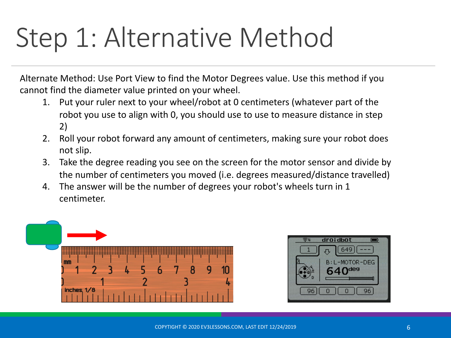### Step 1: Alternative Method

Alternate Method: Use Port View to find the Motor Degrees value. Use this method if you cannot find the diameter value printed on your wheel.

- 1. Put your ruler next to your wheel/robot at 0 centimeters (whatever part of the robot you use to align with 0, you should use to use to measure distance in step 2)
- 2. Roll your robot forward any amount of centimeters, making sure your robot does not slip.
- 3. Take the degree reading you see on the screen for the motor sensor and divide by the number of centimeters you moved (i.e. degrees measured/distance travelled)
- 4. The answer will be the number of degrees your robot's wheels turn in 1 centimeter.



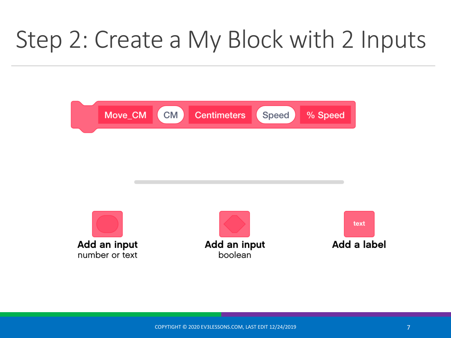### Step 2: Create a My Block with 2 Inputs



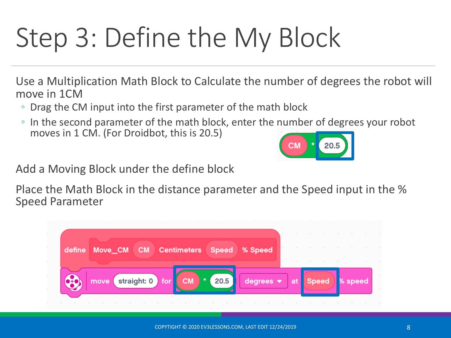# Step 3: Define the My Block

Use a Multiplication Math Block to Calculate the number of degrees the robot will move in 1CM

- Drag the CM input into the first parameter of the math block
- In the second parameter of the math block, enter the number of degrees your robot moves in 1 CM. (For Droidbot, this is 20.5)

Add a Moving Block under the define block

Place the Math Block in the distance parameter and the Speed input in the % Speed Parameter

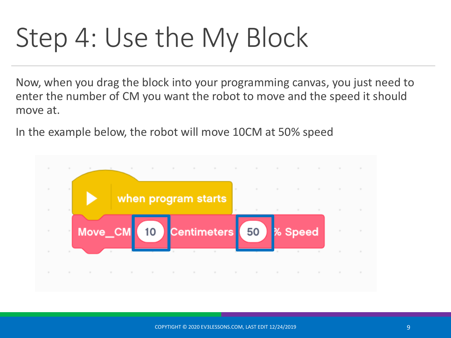### Step 4: Use the My Block

Now, when you drag the block into your programming canvas, you just need to enter the number of CM you want the robot to move and the speed it should move at.

In the example below, the robot will move 10CM at 50% speed

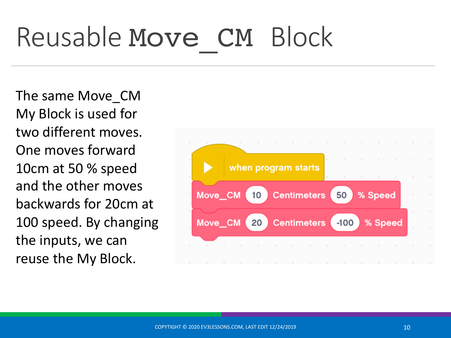# Reusable Move CM Block

The same Move\_CM My Block is used for two different moves. One moves forward 10cm at 50 % speed and the other moves backwards for 20cm at 100 speed. By changing the inputs, we can reuse the My Block.

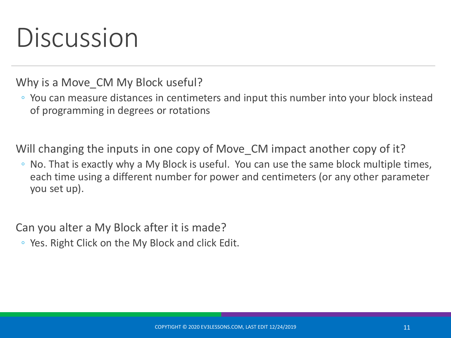### Discussion

Why is a Move CM My Block useful?

◦ You can measure distances in centimeters and input this number into your block instead of programming in degrees or rotations

Will changing the inputs in one copy of Move CM impact another copy of it?

◦ No. That is exactly why a My Block is useful. You can use the same block multiple times, each time using a different number for power and centimeters (or any other parameter you set up).

Can you alter a My Block after it is made?

◦ Yes. Right Click on the My Block and click Edit.